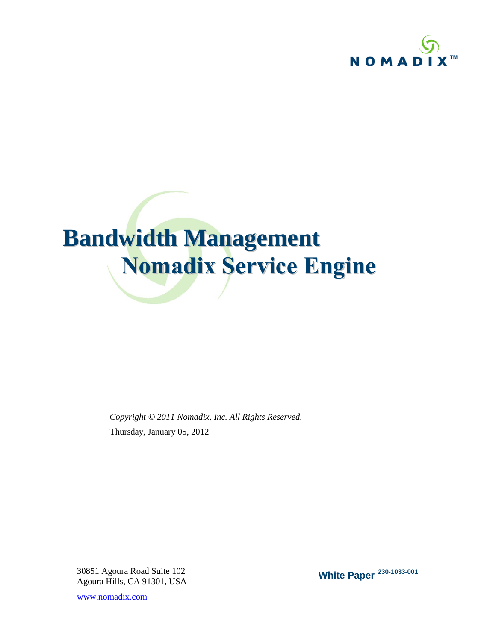

# **Bandwidth Management Nomadix Service Engine**

*Copyright © 2011 Nomadix, Inc. All Rights Reserved.* Thursday, January 05, 2012

30851 Agoura Road Suite 102 Agoura Hills, CA 91301, USA

www.nomadix.com

**White Paper 230-1033-001**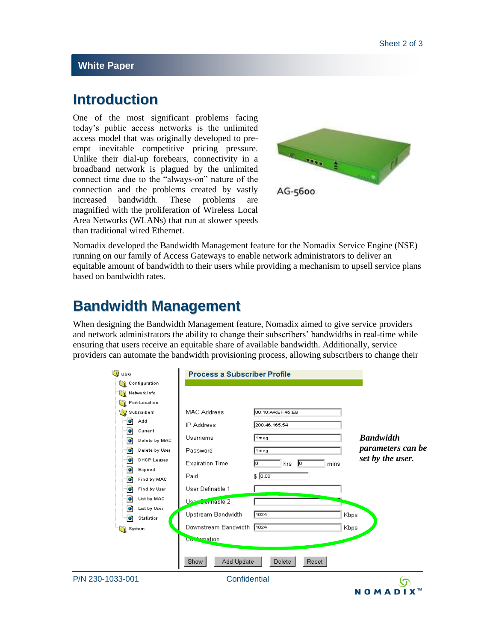#### **White Paper**

## **Introduction**

One of the most significant problems facing today's public access networks is the unlimited access model that was originally developed to preempt inevitable competitive pricing pressure. Unlike their dial-up forebears, connectivity in a broadband network is plagued by the unlimited connect time due to the "always-on" nature of the connection and the problems created by vastly increased bandwidth. These problems are magnified with the proliferation of Wireless Local Area Networks (WLANs) that run at slower speeds than traditional wired Ethernet.



Nomadix developed the Bandwidth Management feature for the Nomadix Service Engine (NSE) running on our family of Access Gateways to enable network administrators to deliver an equitable amount of bandwidth to their users while providing a mechanism to upsell service plans based on bandwidth rates.

### **Bandwidth Management**

When designing the Bandwidth Management feature, Nomadix aimed to give service providers and network administrators the ability to change their subscribers' bandwidths in real-time while ensuring that users receive an equitable share of available bandwidth. Additionally, service providers can automate the bandwidth provisioning process, allowing subscribers to change their